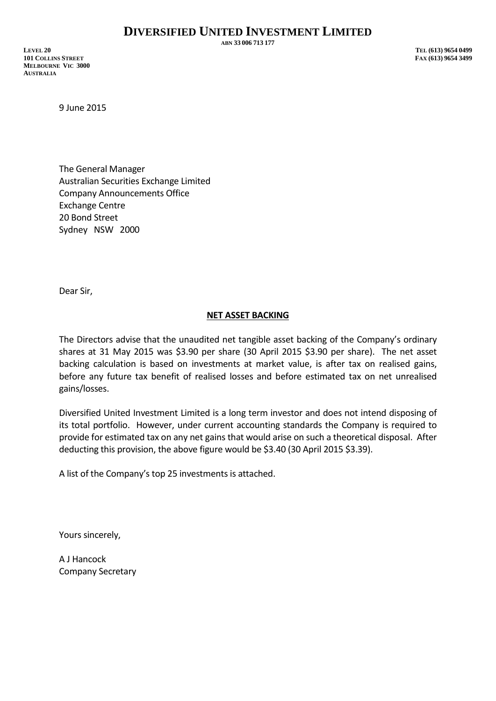**ABN 33 006 713 177**

**LEVEL 20 TEL (613) 9654 0499 101 COLLINS STREET FAX (613) 9654 3499 MELBOURNE VIC 3000 AUSTRALIA**

9 June 2015

The General Manager Australian Securities Exchange Limited Company Announcements Office Exchange Centre 20 Bond Street Sydney NSW 2000

Dear Sir,

## **NET ASSET BACKING**

The Directors advise that the unaudited net tangible asset backing of the Company's ordinary shares at 31 May 2015 was \$3.90 per share (30 April 2015 \$3.90 per share). The net asset backing calculation is based on investments at market value, is after tax on realised gains, before any future tax benefit of realised losses and before estimated tax on net unrealised gains/losses.

Diversified United Investment Limited is a long term investor and does not intend disposing of its total portfolio. However, under current accounting standards the Company is required to provide for estimated tax on any net gains that would arise on such a theoretical disposal. After deducting this provision, the above figure would be \$3.40 (30 April 2015 \$3.39).

A list of the Company's top 25 investments is attached.

Yours sincerely,

A J Hancock Company Secretary